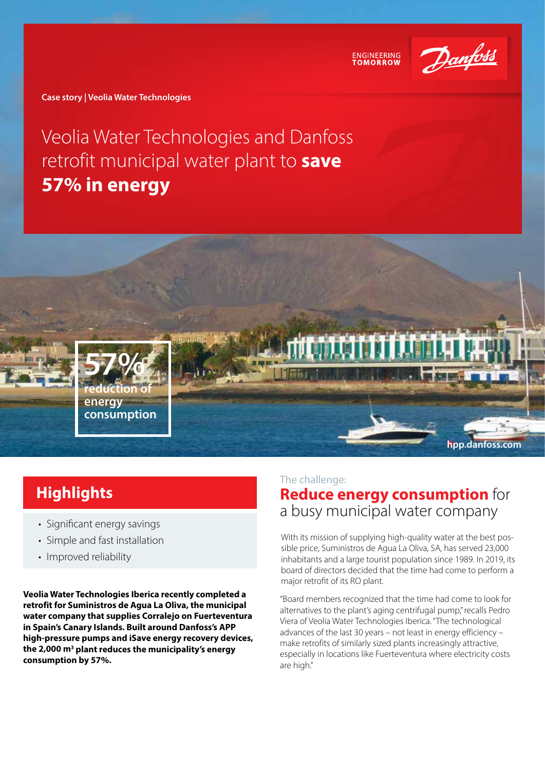

**ENGINEERING** 

**Case story | Veolia Water Technologies**

## Veolia Water Technologies and Danfoss retrofit municipal water plant to **save 57% in energy**



## **Highlights**

- Significant energy savings
- Simple and fast installation
- Improved reliability

**Veolia Water Technologies Iberica recently completed a retrofit for Suministros de Agua La Oliva, the municipal water company that supplies Corralejo on Fuerteventura in Spain's Canary Islands. Built around Danfoss's APP high-pressure pumps and iSave energy recovery devices, the 2,000 m3 plant reduces the municipality's energy consumption by 57%.** 

#### The challenge:

## **Reduce energy consumption** for a busy municipal water company

With its mission of supplying high-quality water at the best possible price, Suministros de Agua La Oliva, SA, has served 23,000 inhabitants and a large tourist population since 1989. In 2019, its board of directors decided that the time had come to perform a major retrofit of its RO plant.

"Board members recognized that the time had come to look for alternatives to the plant's aging centrifugal pump," recalls Pedro Viera of Veolia Water Technologies Iberica. "The technological advances of the last 30 years – not least in energy efficiency – make retrofits of similarly sized plants increasingly attractive, especially in locations like Fuerteventura where electricity costs are high."